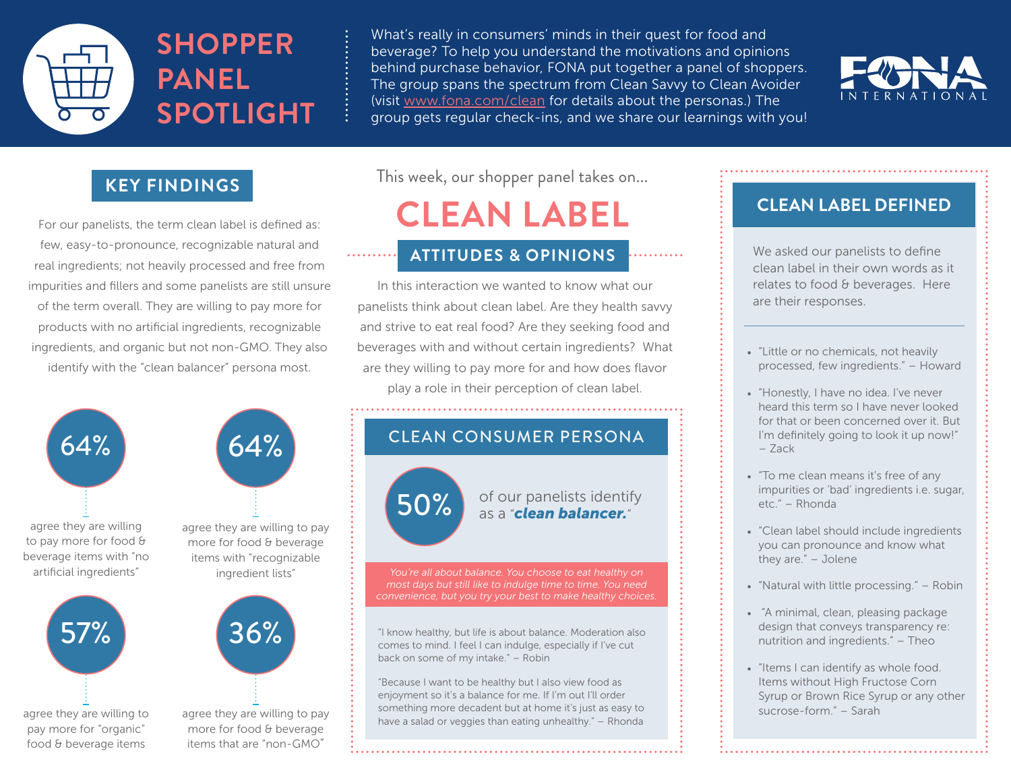

What's really in consumers' minds in their quest for food and beverage? To help you understand the motivations and opinions behind purchase behavior, FONA put together a panel of shoppers. The group spans the spectrum from Clean Savvy to Clean Avoider (visit www.fona.com/clean for details about the personas.) The group gets regular check-ins, and we share our learnings with you!



### **KEY FINDINGS**

For our panelists, the term clean label is defined as: few, easy-to-pronounce, recognizable natural and real ingredients; not heavily processed and free from impurities and fillers and some panelists are still unsure of the term overall. They are willing to pay more for products with no artificial ingredients, recognizable ingredients, and organic but not non-GMO. They also identify with the "clean balancer" persona most.



food & beverage items items that are "non-GMO" This week, our shopper panel takes on...

# **CLEAN LABEL**

#### **ATTITUDES & OPINIONS** with the asked our panelists to define . . . . . . . . . .

In this interaction we wanted to know what our panelists think about clean label. Are they health savvy and strive to eat real food? Are they seeking food and beverages with and without certain ingredients? What are they willing to pay more for and how does flavor play a role in their perception of clean label.

### CLEAN CONSUMER PERSONA

50% of our panelists identify as a "*clean balancer.*"

"I know healthy, but life is about balance. Moderation also comes to mind. I feel I can indulge, especially if I've cut back on some of my intake." – Robin

"Because I want to be healthy but I also view food as enjoyment so it's a balance for me. If I'm out I'll order something more decadent but at home it's just as easy to have a salad or veggies than eating unhealthy." – Rhonda

### **CLEAN LABEL DEFINED**

clean label in their own words as it relates to food & beverages. Here are their responses.

- "Little or no chemicals, not heavily processed, few ingredients." – Howard
- "Honestly, I have no idea. I've never heard this term so I have never looked for that or been concerned over it. But I'm definitely going to look it up now!" – Zack
- "To me clean means it's free of any impurities or 'bad' ingredients i.e. sugar, etc." – Rhonda
- "Clean label should include ingredients you can pronounce and know what they are." – Jolene
- "Natural with little processing." Robin
- "A minimal, clean, pleasing package design that conveys transparency re: nutrition and ingredients." – Theo
- "Items I can identify as whole food. Items without High Fructose Corn Syrup or Brown Rice Syrup or any other sucrose-form." – Sarah